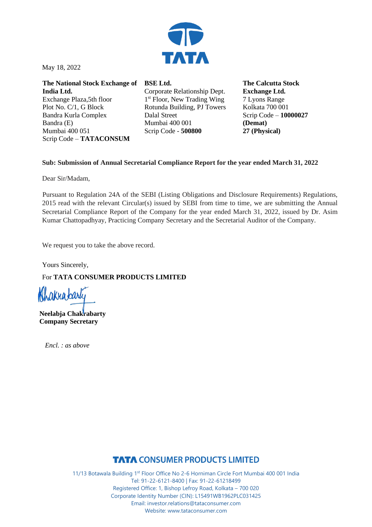

May 18, 2022

**The National Stock Exchange of India Ltd.** Exchange Plaza,5th floor Plot No. C/1, G Block Bandra Kurla Complex Bandra (E) Mumbai 400 051 Scrip Code – **TATACONSUM**

**BSE Ltd.** Corporate Relationship Dept. 1<sup>st</sup> Floor, New Trading Wing Rotunda Building, PJ Towers Dalal Street Mumbai 400 001 Scrip Code - **500800**

**The Calcutta Stock Exchange Ltd.** 7 Lyons Range Kolkata 700 001 Scrip Code – **10000027 (Demat) 27 (Physical)**

### **Sub: Submission of Annual Secretarial Compliance Report for the year ended March 31, 2022**

Dear Sir/Madam,

Pursuant to Regulation 24A of the SEBI (Listing Obligations and Disclosure Requirements) Regulations, 2015 read with the relevant Circular(s) issued by SEBI from time to time, we are submitting the Annual Secretarial Compliance Report of the Company for the year ended March 31, 2022, issued by Dr. Asim Kumar Chattopadhyay, Practicing Company Secretary and the Secretarial Auditor of the Company.

We request you to take the above record.

Yours Sincerely, For **TATA CONSUMER PRODUCTS LIMITED**

Nhakrabarty 

**Neelabja Chakrabarty Company Secretary**

*Encl. : as above*

# **TATA CONSUMER PRODUCTS LIMITED**

11/13 Botawala Building 1st Floor Office No 2-6 Horniman Circle Fort Mumbai 400 001 India Tel: 91-22-6121-8400 | Fax: 91-22-61218499 Registered Office: 1, Bishop Lefroy Road, Kolkata – 700 020 Corporate Identity Number (CIN): L15491WB1962PLC031425 Email: investor.relations@tataconsumer.com Website: www.tataconsumer.com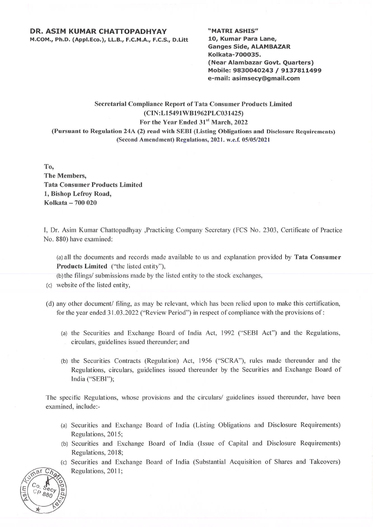#### **DR. ASIM KUMAR CHATTOPADHYAY**

M.COM., Ph.D. (Appl.Eco.), LL.B., F.C.M.A., F.C.S., D.Litt

"MATRI ASHIS" 10, Kumar Para Lane, **Ganges Side, ALAMBAZAR** Kolkata-700035. (Near Alambazar Govt. Quarters) Mobile: 9830040243 / 9137811499 e-mail: asimsecy@gmail.com

## **Secretarial Compliance Report of Tata Consumer Products Limited** (CIN:L15491WB1962PLC031425) For the Year Ended 31st March, 2022 (Pursuant to Regulation 24A (2) read with SEBI (Listing Obligations and Disclosure Requirements)

(Second Amendment) Regulations, 2021. w.e.f. 05/05/2021

To, **The Members. Tata Consumer Products Limited** 1, Bishop Lefroy Road, Kolkata - 700 020

I. Dr. Asim Kumar Chattopadhyay ,Practicing Company Secretary (FCS No. 2303, Certificate of Practice No. 880) have examined:

(a) all the documents and records made available to us and explanation provided by **Tata Consumer** Products Limited ("the listed entity"),

(b) the filings/ submissions made by the listed entity to the stock exchanges,

- (c) website of the listed entity.
- (d) any other document/ filing, as may be relevant, which has been relied upon to make this certification, for the year ended 31.03.2022 ("Review Period") in respect of compliance with the provisions of:
	- (a) the Securities and Exchange Board of India Act, 1992 ("SEBI Act") and the Regulations, circulars, guidelines issued thereunder; and
	- (b) the Securities Contracts (Regulation) Act, 1956 ("SCRA"), rules made thereunder and the Regulations, circulars, guidelines issued thereunder by the Securities and Exchange Board of India ("SEBI");

The specific Regulations, whose provisions and the circulars/ guidelines issued thereunder, have been examined, include:-

- (a) Securities and Exchange Board of India (Listing Obligations and Disclosure Requirements) Regulations, 2015;
- (b) Securities and Exchange Board of India (Issue of Capital and Disclosure Requirements) Regulations, 2018;
- (c) Securities and Exchange Board of India (Substantial Acquisition of Shares and Takeovers) Regulations, 2011;

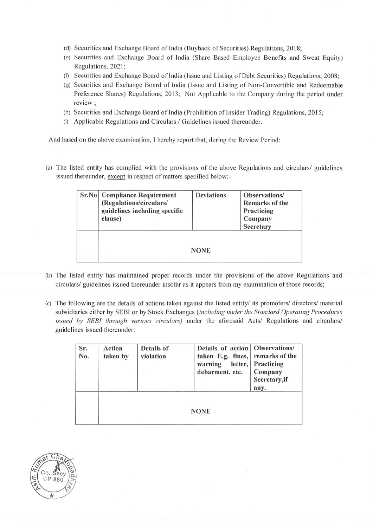- (d) Securities and Exchange Board of India (Buyback of Securities) Regulations, 2018;
- (e) Securities and Exchange Board of India (Share Based Employee Benefits and Sweat Equity) Regulations, 2021:
- (f) Securities and Exchange Board of India (Issue and Listing of Debt Securities) Regulations, 2008;
- (g) Securities and Exchange Board of India (Issue and Listing of Non-Convertible and Redeemable Preference Shares) Regulations, 2013; Not Applicable to the Company during the period under review ;
- (h) Securities and Exchange Board of India (Prohibition of Insider Trading) Regulations, 2015;
- (i) Applicable Regulations and Circulars / Guidelines issued thereunder.

And based on the above examination, I hereby report that, during the Review Period:

(a) The listed entity has complied with the provisions of the above Regulations and circulars/ guidelines issued thereunder, except in respect of matters specified below:-

| <b>Sr.No</b> Compliance Requirement<br>(Regulations/circulars/<br>guidelines including specific<br>clause) | <b>Deviations</b> | <b>Observations</b> /<br><b>Remarks of the</b><br>Practicing<br>Company<br><b>Secretary</b> |
|------------------------------------------------------------------------------------------------------------|-------------------|---------------------------------------------------------------------------------------------|
|                                                                                                            | <b>NONE</b>       |                                                                                             |

- (b) The listed entity has maintained proper records under the provisions of the above Regulations and circulars/ guidelines issued thereunder insofar as it appears from my examination of those records;
- (c) The following are the details of actions taken against the listed entity/ its promoters/ directors/ material subsidiaries either by SEBI or by Stock Exchanges (including under the Standard Operating Procedures issued by SEBI through various circulars) under the aforesaid Acts/ Regulations and circulars/ guidelines issued thereunder:

| Sr.<br>No. | <b>Action</b><br>taken by | <b>Details of</b><br>violation | Details of action   Observations/<br>taken E.g. fines,<br>warning<br>letter,<br>debarment, etc. | remarks of the<br>Practicing<br>Company<br>Secretary, if<br>any. |  |
|------------|---------------------------|--------------------------------|-------------------------------------------------------------------------------------------------|------------------------------------------------------------------|--|
|            | <b>NONE</b>               |                                |                                                                                                 |                                                                  |  |